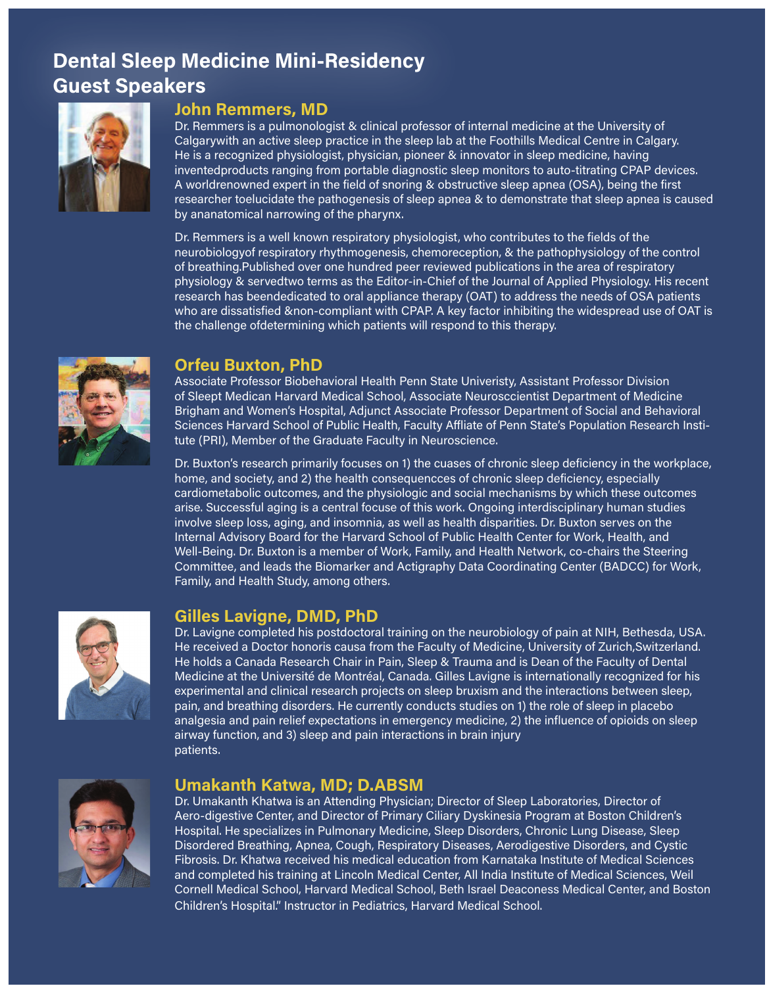# Dental Sleep Medicine Mini-Residency Guest Speakers



#### John Remmers, MD

Dr. Remmers is a pulmonologist & clinical professor of internal medicine at the University of Calgarywith an active sleep practice in the sleep lab at the Foothills Medical Centre in Calgary. He is a recognized physiologist, physician, pioneer & innovator in sleep medicine, having inventedproducts ranging from portable diagnostic sleep monitors to auto-titrating CPAP devices. A worldrenowned expert in the field of snoring & obstructive sleep apnea (OSA), being the first researcher toelucidate the pathogenesis of sleep apnea & to demonstrate that sleep apnea is caused by ananatomical narrowing of the pharynx.

Dr. Remmers is a well known respiratory physiologist, who contributes to the fields of the neurobiologyof respiratory rhythmogenesis, chemoreception, & the pathophysiology of the control of breathing.Published over one hundred peer reviewed publications in the area of respiratory physiology & servedtwo terms as the Editor-in-Chief of the Journal of Applied Physiology. His recent research has beendedicated to oral appliance therapy (OAT) to address the needs of OSA patients who are dissatisfied &non-compliant with CPAP. A key factor inhibiting the widespread use of OAT is the challenge ofdetermining which patients will respond to this therapy.



### Orfeu Buxton, PhD

Associate Professor Biobehavioral Health Penn State Univeristy, Assistant Professor Division of Sleept Medican Harvard Medical School, Associate Neurosccientist Department of Medicine Brigham and Women's Hospital, Adjunct Associate Professor Department of Social and Behavioral Sciences Harvard School of Public Health, Faculty Affliate of Penn State's Population Research Institute (PRI), Member of the Graduate Faculty in Neuroscience.

Dr. Buxton's research primarily focuses on 1) the cuases of chronic sleep deficiency in the workplace, home, and society, and 2) the health consequencces of chronic sleep deficiency, especially cardiometabolic outcomes, and the physiologic and social mechanisms by which these outcomes arise. Successful aging is a central focuse of this work. Ongoing interdisciplinary human studies involve sleep loss, aging, and insomnia, as well as health disparities. Dr. Buxton serves on the Internal Advisory Board for the Harvard School of Public Health Center for Work, Health, and Well-Being. Dr. Buxton is a member of Work, Family, and Health Network, co-chairs the Steering Committee, and leads the Biomarker and Actigraphy Data Coordinating Center (BADCC) for Work, Family, and Health Study, among others.



## Gilles Lavigne, DMD, PhD

Dr. Lavigne completed his postdoctoral training on the neurobiology of pain at NIH, Bethesda, USA. He received a Doctor honoris causa from the Faculty of Medicine, University of Zurich,Switzerland. He holds a Canada Research Chair in Pain, Sleep & Trauma and is Dean of the Faculty of Dental Medicine at the Université de Montréal, Canada. Gilles Lavigne is internationally recognized for his experimental and clinical research projects on sleep bruxism and the interactions between sleep, pain, and breathing disorders. He currently conducts studies on 1) the role of sleep in placebo analgesia and pain relief expectations in emergency medicine, 2) the influence of opioids on sleep airway function, and 3) sleep and pain interactions in brain injury patients.



### Umakanth Katwa, MD; D.ABSM

Dr. Umakanth Khatwa is an Attending Physician; Director of Sleep Laboratories, Director of Aero-digestive Center, and Director of Primary Ciliary Dyskinesia Program at Boston Children's Hospital. He specializes in Pulmonary Medicine, Sleep Disorders, Chronic Lung Disease, Sleep Disordered Breathing, Apnea, Cough, Respiratory Diseases, Aerodigestive Disorders, and Cystic Fibrosis. Dr. Khatwa received his medical education from Karnataka Institute of Medical Sciences and completed his training at Lincoln Medical Center, All India Institute of Medical Sciences, Weil Cornell Medical School, Harvard Medical School, Beth Israel Deaconess Medical Center, and Boston Children's Hospital." Instructor in Pediatrics, Harvard Medical School.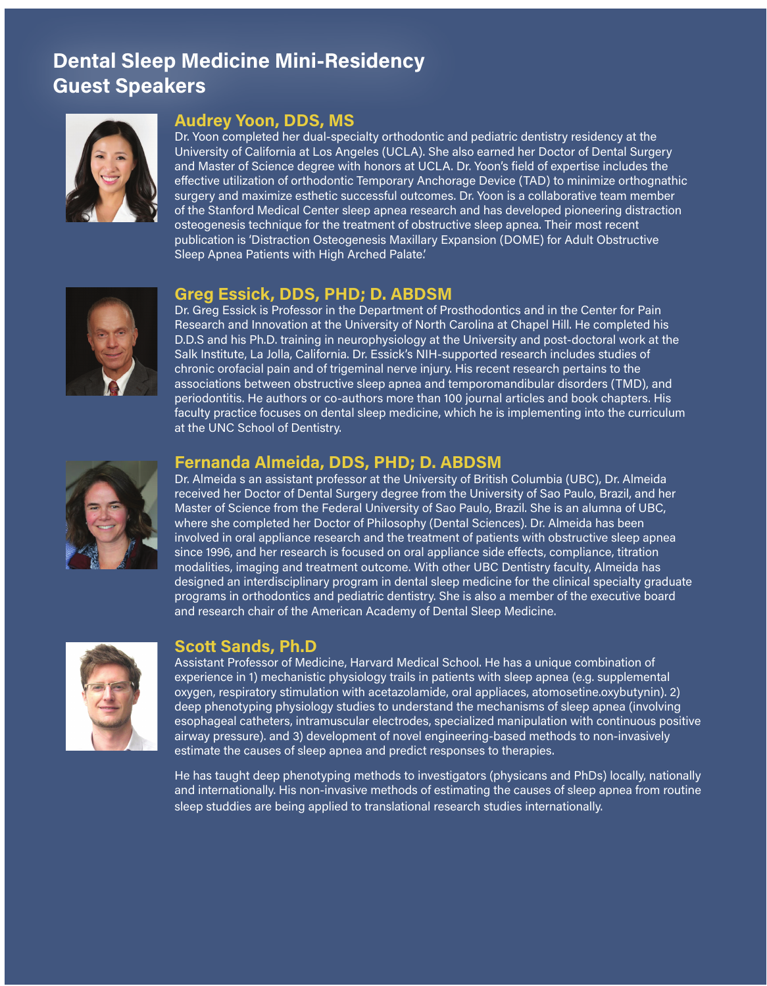# Dental Sleep Medicine Mini-Residency Guest Speakers



## Audrey Yoon, DDS, MS

Dr. Yoon completed her dual-specialty orthodontic and pediatric dentistry residency at the University of California at Los Angeles (UCLA). She also earned her Doctor of Dental Surgery and Master of Science degree with honors at UCLA. Dr. Yoon's field of expertise includes the effective utilization of orthodontic Temporary Anchorage Device (TAD) to minimize orthognathic surgery and maximize esthetic successful outcomes. Dr. Yoon is a collaborative team member of the Stanford Medical Center sleep apnea research and has developed pioneering distraction osteogenesis technique for the treatment of obstructive sleep apnea. Their most recent publication is 'Distraction Osteogenesis Maxillary Expansion (DOME) for Adult Obstructive Sleep Apnea Patients with High Arched Palate.'



## Greg Essick, DDS, PHD; D. ABDSM

Dr. Greg Essick is Professor in the Department of Prosthodontics and in the Center for Pain Research and Innovation at the University of North Carolina at Chapel Hill. He completed his D.D.S and his Ph.D. training in neurophysiology at the University and post-doctoral work at the Salk Institute, La Jolla, California. Dr. Essick's NIH-supported research includes studies of chronic orofacial pain and of trigeminal nerve injury. His recent research pertains to the associations between obstructive sleep apnea and temporomandibular disorders (TMD), and periodontitis. He authors or co-authors more than 100 journal articles and book chapters. His faculty practice focuses on dental sleep medicine, which he is implementing into the curriculum at the UNC School of Dentistry.



#### Fernanda Almeida, DDS, PHD; D. ABDSM

Dr. Almeida s an assistant professor at the University of British Columbia (UBC), Dr. Almeida received her Doctor of Dental Surgery degree from the University of Sao Paulo, Brazil, and her Master of Science from the Federal University of Sao Paulo, Brazil. She is an alumna of UBC, where she completed her Doctor of Philosophy (Dental Sciences). Dr. Almeida has been involved in oral appliance research and the treatment of patients with obstructive sleep apnea since 1996, and her research is focused on oral appliance side effects, compliance, titration modalities, imaging and treatment outcome. With other UBC Dentistry faculty, Almeida has designed an interdisciplinary program in dental sleep medicine for the clinical specialty graduate programs in orthodontics and pediatric dentistry. She is also a member of the executive board and research chair of the American Academy of Dental Sleep Medicine.



## Scott Sands, Ph.D

Assistant Professor of Medicine, Harvard Medical School. He has a unique combination of experience in 1) mechanistic physiology trails in patients with sleep apnea (e.g. supplemental oxygen, respiratory stimulation with acetazolamide, oral appliaces, atomosetine.oxybutynin). 2) deep phenotyping physiology studies to understand the mechanisms of sleep apnea (involving esophageal catheters, intramuscular electrodes, specialized manipulation with continuous positive airway pressure). and 3) development of novel engineering-based methods to non-invasively estimate the causes of sleep apnea and predict responses to therapies.

He has taught deep phenotyping methods to investigators (physicans and PhDs) locally, nationally and internationally. His non-invasive methods of estimating the causes of sleep apnea from routine sleep studdies are being applied to translational research studies internationally.